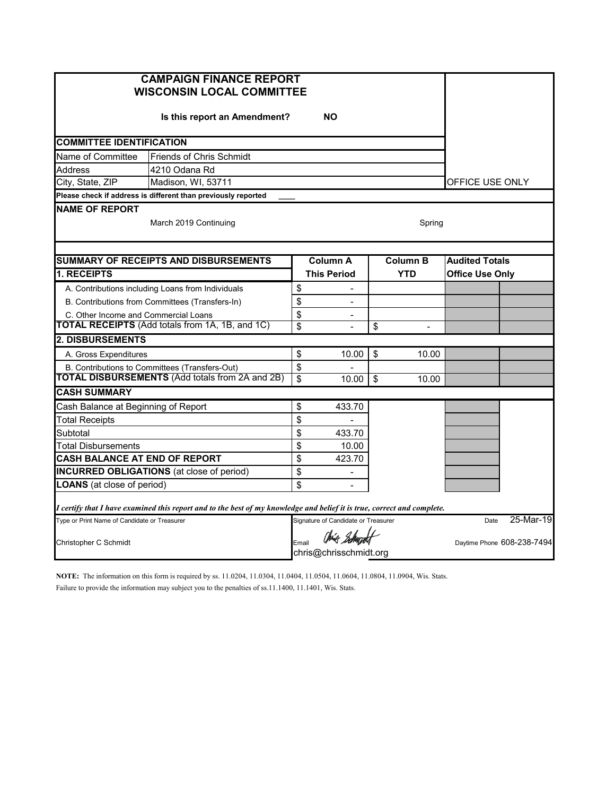| <b>CAMPAIGN FINANCE REPORT</b><br><b>WISCONSIN LOCAL COMMITTEE</b>                                                      |                                                                                 |                              |            |                 |                        |           |  |  |  |
|-------------------------------------------------------------------------------------------------------------------------|---------------------------------------------------------------------------------|------------------------------|------------|-----------------|------------------------|-----------|--|--|--|
| Is this report an Amendment?                                                                                            |                                                                                 |                              |            |                 |                        |           |  |  |  |
| <b>COMMITTEE IDENTIFICATION</b>                                                                                         |                                                                                 |                              |            |                 |                        |           |  |  |  |
| Name of Committee<br><b>Friends of Chris Schmidt</b>                                                                    |                                                                                 |                              |            |                 |                        |           |  |  |  |
| <b>Address</b><br>4210 Odana Rd                                                                                         |                                                                                 |                              |            |                 |                        |           |  |  |  |
| City, State, ZIP<br>Madison, WI, 53711                                                                                  | OFFICE USE ONLY                                                                 |                              |            |                 |                        |           |  |  |  |
| Please check if address is different than previously reported                                                           |                                                                                 |                              |            |                 |                        |           |  |  |  |
| <b>NAME OF REPORT</b><br>March 2019 Continuing<br>Spring                                                                |                                                                                 |                              |            |                 |                        |           |  |  |  |
|                                                                                                                         |                                                                                 |                              |            |                 |                        |           |  |  |  |
| <b>SUMMARY OF RECEIPTS AND DISBURSEMENTS</b>                                                                            |                                                                                 | <b>Column A</b>              |            | <b>Column B</b> | <b>Audited Totals</b>  |           |  |  |  |
| <b>1. RECEIPTS</b>                                                                                                      | <b>This Period</b>                                                              |                              | <b>YTD</b> |                 | <b>Office Use Only</b> |           |  |  |  |
| A. Contributions including Loans from Individuals                                                                       | \$                                                                              |                              |            |                 |                        |           |  |  |  |
| B. Contributions from Committees (Transfers-In)                                                                         | \$                                                                              | $\qquad \qquad \blacksquare$ |            |                 |                        |           |  |  |  |
| C. Other Income and Commercial Loans<br><b>TOTAL RECEIPTS</b> (Add totals from 1A, 1B, and 1C)                          | \$                                                                              | $\qquad \qquad \blacksquare$ |            |                 |                        |           |  |  |  |
| <b>2. DISBURSEMENTS</b>                                                                                                 | \$                                                                              |                              | \$         | $\overline{a}$  |                        |           |  |  |  |
|                                                                                                                         |                                                                                 |                              |            |                 |                        |           |  |  |  |
| A. Gross Expenditures                                                                                                   | \$                                                                              | 10.00                        | \$         | 10.00           |                        |           |  |  |  |
| B. Contributions to Committees (Transfers-Out)<br><b>TOTAL DISBURSEMENTS (Add totals from 2A and 2B)</b>                | \$                                                                              |                              |            |                 |                        |           |  |  |  |
| <b>CASH SUMMARY</b>                                                                                                     | \$                                                                              | 10.00                        | \$         | 10.00           |                        |           |  |  |  |
|                                                                                                                         |                                                                                 |                              |            |                 |                        |           |  |  |  |
| Cash Balance at Beginning of Report                                                                                     | \$                                                                              | 433.70                       |            |                 |                        |           |  |  |  |
| <b>Total Receipts</b>                                                                                                   | \$                                                                              |                              |            |                 |                        |           |  |  |  |
| Subtotal                                                                                                                | \$                                                                              | 433.70                       |            |                 |                        |           |  |  |  |
| Total Disbursements                                                                                                     | \$                                                                              | 10.00                        |            |                 |                        |           |  |  |  |
| CASH BALANCE AT END OF REPORT                                                                                           | \$                                                                              | 423.70                       |            |                 |                        |           |  |  |  |
| <b>INCURRED OBLIGATIONS</b> (at close of period)                                                                        | \$                                                                              |                              |            |                 |                        |           |  |  |  |
| <b>LOANS</b> (at close of period)                                                                                       | \$                                                                              |                              |            |                 |                        |           |  |  |  |
| I certify that I have examined this report and to the best of my knowledge and belief it is true, correct and complete. |                                                                                 |                              |            |                 |                        |           |  |  |  |
| Type or Print Name of Candidate or Treasurer                                                                            | Signature of Candidate or Treasurer                                             |                              |            |                 | Date                   | 25-Mar-19 |  |  |  |
| Christopher C Schmidt                                                                                                   | Chris Schurcht<br>Daytime Phone 608-238-7494<br>Email<br>chris@chrisschmidt.org |                              |            |                 |                        |           |  |  |  |

**NOTE:** The information on this form is required by ss. 11.0204, 11.0304, 11.0404, 11.0504, 11.0604, 11.0804, 11.0904, Wis. Stats. Failure to provide the information may subject you to the penalties of ss.11.1400, 11.1401, Wis. Stats.